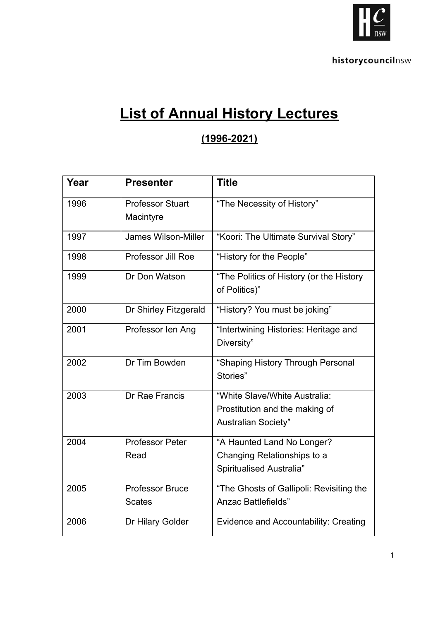

## **List of Annual History Lectures**

## **(1996-2021)**

| Year | <b>Presenter</b>          | <b>Title</b>                                 |
|------|---------------------------|----------------------------------------------|
| 1996 | <b>Professor Stuart</b>   | "The Necessity of History"                   |
|      | Macintyre                 |                                              |
| 1997 | James Wilson-Miller       | "Koori: The Ultimate Survival Story"         |
| 1998 | <b>Professor Jill Roe</b> | "History for the People"                     |
| 1999 | Dr Don Watson             | "The Politics of History (or the History     |
|      |                           | of Politics)"                                |
| 2000 | Dr Shirley Fitzgerald     | "History? You must be joking"                |
| 2001 | Professor len Ang         | "Intertwining Histories: Heritage and        |
|      |                           | Diversity"                                   |
| 2002 | Dr Tim Bowden             | "Shaping History Through Personal            |
|      |                           | Stories"                                     |
| 2003 | Dr Rae Francis            | "White Slave/White Australia:                |
|      |                           | Prostitution and the making of               |
|      |                           | <b>Australian Society"</b>                   |
| 2004 | <b>Professor Peter</b>    | "A Haunted Land No Longer?                   |
|      | Read                      | Changing Relationships to a                  |
|      |                           | Spiritualised Australia"                     |
| 2005 | <b>Professor Bruce</b>    | "The Ghosts of Gallipoli: Revisiting the     |
|      | <b>Scates</b>             | Anzac Battlefields"                          |
| 2006 | Dr Hilary Golder          | <b>Evidence and Accountability: Creating</b> |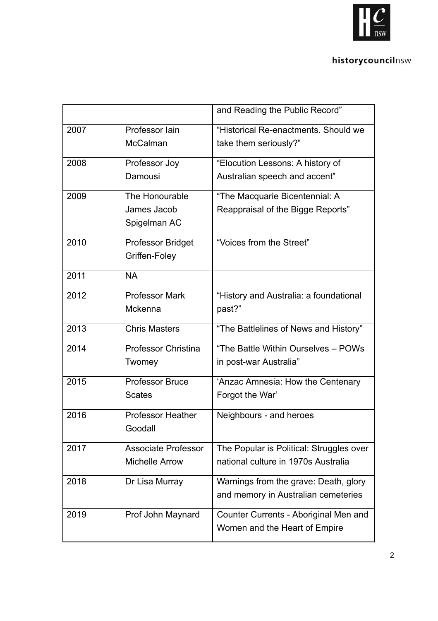

## historycouncilnsw

|      |                                                     | and Reading the Public Record"                                                  |
|------|-----------------------------------------------------|---------------------------------------------------------------------------------|
| 2007 | Professor lain<br>McCalman                          | "Historical Re-enactments, Should we<br>take them seriously?"                   |
| 2008 | Professor Joy                                       | "Elocution Lessons: A history of                                                |
|      | Damousi                                             | Australian speech and accent"                                                   |
| 2009 | The Honourable                                      | "The Macquarie Bicentennial: A                                                  |
|      | James Jacob<br>Spigelman AC                         | Reappraisal of the Bigge Reports"                                               |
| 2010 | Professor Bridget<br>Griffen-Foley                  | "Voices from the Street"                                                        |
| 2011 | <b>NA</b>                                           |                                                                                 |
| 2012 | <b>Professor Mark</b><br>Mckenna                    | "History and Australia: a foundational<br>past?"                                |
| 2013 | <b>Chris Masters</b>                                | "The Battlelines of News and History"                                           |
| 2014 | <b>Professor Christina</b><br>Twomey                | "The Battle Within Ourselves - POWs<br>in post-war Australia"                   |
| 2015 | <b>Professor Bruce</b><br><b>Scates</b>             | 'Anzac Amnesia: How the Centenary<br>Forgot the War'                            |
| 2016 | <b>Professor Heather</b><br>Goodall                 | Neighbours - and heroes                                                         |
| 2017 | <b>Associate Professor</b><br><b>Michelle Arrow</b> | The Popular is Political: Struggles over<br>national culture in 1970s Australia |
| 2018 | Dr Lisa Murray                                      | Warnings from the grave: Death, glory<br>and memory in Australian cemeteries    |
| 2019 | Prof John Maynard                                   | Counter Currents - Aboriginal Men and<br>Women and the Heart of Empire          |